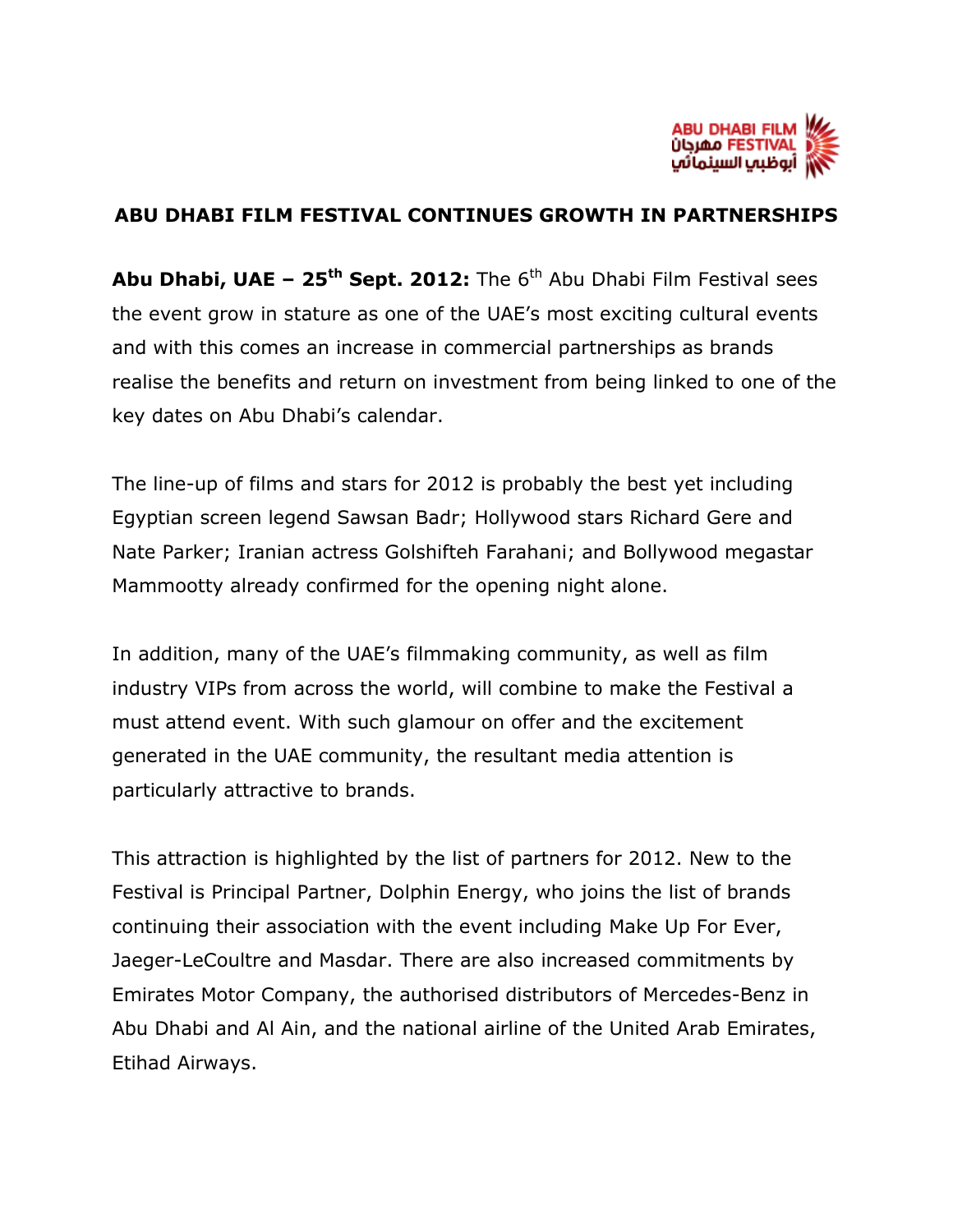

## **ABU DHABI FILM FESTIVAL CONTINUES GROWTH IN PARTNERSHIPS**

**Abu Dhabi, UAE – 25th Sept. 2012:** The 6th Abu Dhabi Film Festival sees the event grow in stature as one of the UAE's most exciting cultural events and with this comes an increase in commercial partnerships as brands realise the benefits and return on investment from being linked to one of the key dates on Abu Dhabi's calendar.

The line-up of films and stars for 2012 is probably the best yet including Egyptian screen legend Sawsan Badr; Hollywood stars Richard Gere and Nate Parker; Iranian actress Golshifteh Farahani; and Bollywood megastar Mammootty already confirmed for the opening night alone.

In addition, many of the UAE's filmmaking community, as well as film industry VIPs from across the world, will combine to make the Festival a must attend event. With such glamour on offer and the excitement generated in the UAE community, the resultant media attention is particularly attractive to brands.

This attraction is highlighted by the list of partners for 2012. New to the Festival is Principal Partner, Dolphin Energy, who joins the list of brands continuing their association with the event including Make Up For Ever, Jaeger-LeCoultre and Masdar. There are also increased commitments by Emirates Motor Company, the authorised distributors of Mercedes-Benz in Abu Dhabi and Al Ain, and the national airline of the United Arab Emirates, Etihad Airways.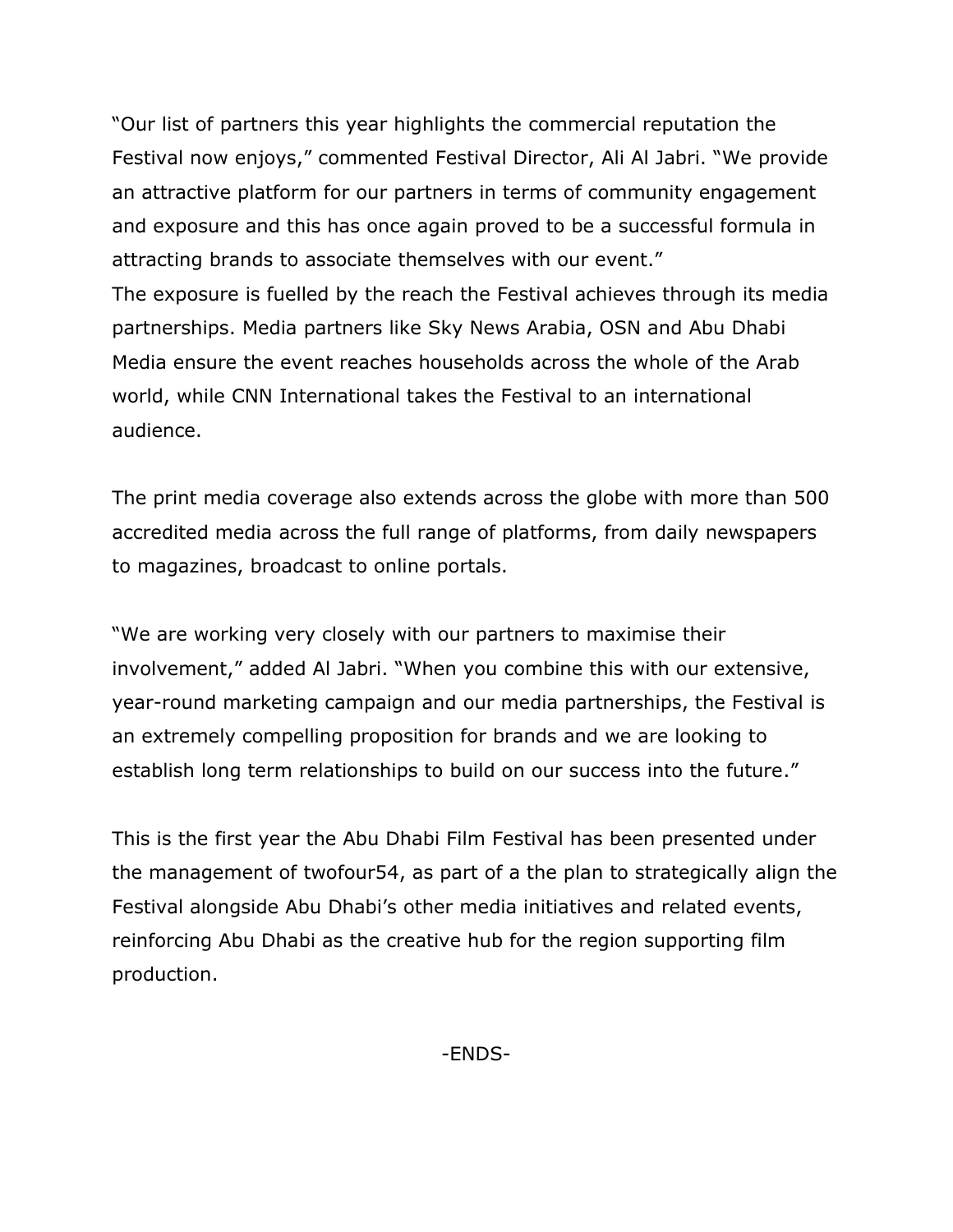"Our list of partners this year highlights the commercial reputation the Festival now enjoys," commented Festival Director, Ali Al Jabri. "We provide an attractive platform for our partners in terms of community engagement and exposure and this has once again proved to be a successful formula in attracting brands to associate themselves with our event." The exposure is fuelled by the reach the Festival achieves through its media partnerships. Media partners like Sky News Arabia, OSN and Abu Dhabi Media ensure the event reaches households across the whole of the Arab world, while CNN International takes the Festival to an international audience.

The print media coverage also extends across the globe with more than 500 accredited media across the full range of platforms, from daily newspapers to magazines, broadcast to online portals.

"We are working very closely with our partners to maximise their involvement," added Al Jabri. "When you combine this with our extensive, year-round marketing campaign and our media partnerships, the Festival is an extremely compelling proposition for brands and we are looking to establish long term relationships to build on our success into the future."

This is the first year the Abu Dhabi Film Festival has been presented under the management of twofour54, as part of a the plan to strategically align the Festival alongside Abu Dhabi's other media initiatives and related events, reinforcing Abu Dhabi as the creative hub for the region supporting film production.

-ENDS-